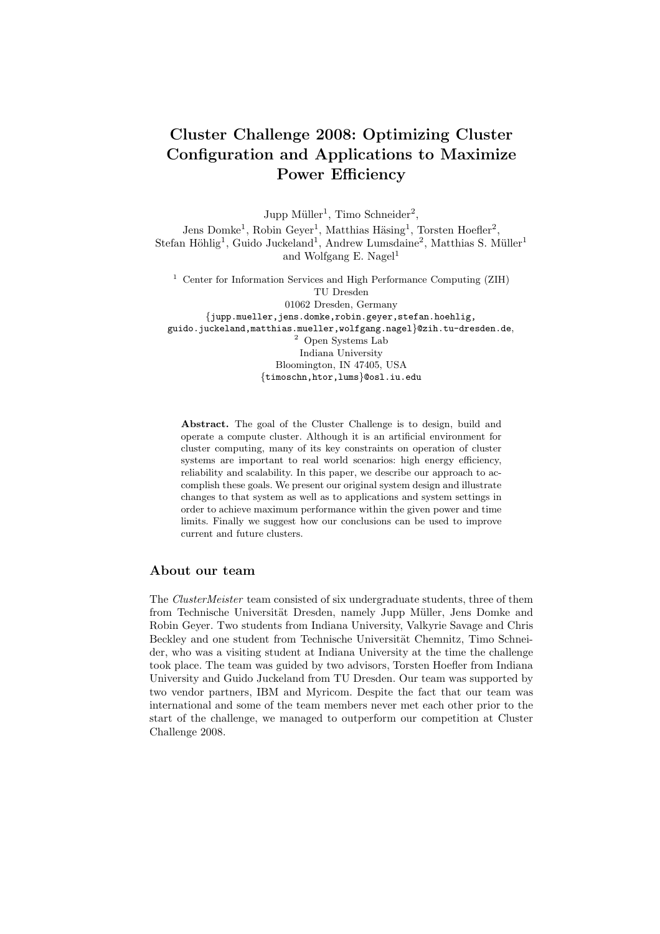# Cluster Challenge 2008: Optimizing Cluster Configuration and Applications to Maximize Power Efficiency

Jupp Müller<sup>1</sup>, Timo Schneider<sup>2</sup>,

Jens Domke<sup>1</sup>, Robin Geyer<sup>1</sup>, Matthias Häsing<sup>1</sup>, Torsten Hoefler<sup>2</sup>, Stefan Höhlig<sup>1</sup>, Guido Juckeland<sup>1</sup>, Andrew Lumsdaine<sup>2</sup>, Matthias S. Müller<sup>1</sup> and Wolfgang E. Nagel<sup>1</sup>

 $^{\rm 1}$  Center for Information Services and High Performance Computing (ZIH) TU Dresden 01062 Dresden, Germany {jupp.mueller,jens.domke,robin.geyer,stefan.hoehlig, guido.juckeland,matthias.mueller,wolfgang.nagel}@zih.tu-dresden.de, <sup>2</sup> Open Systems Lab Indiana University Bloomington, IN 47405, USA {timoschn,htor,lums}@osl.iu.edu

Abstract. The goal of the Cluster Challenge is to design, build and operate a compute cluster. Although it is an artificial environment for cluster computing, many of its key constraints on operation of cluster systems are important to real world scenarios: high energy efficiency, reliability and scalability. In this paper, we describe our approach to accomplish these goals. We present our original system design and illustrate changes to that system as well as to applications and system settings in order to achieve maximum performance within the given power and time limits. Finally we suggest how our conclusions can be used to improve current and future clusters.

## About our team

The ClusterMeister team consisted of six undergraduate students, three of them from Technische Universität Dresden, namely Jupp Müller, Jens Domke and Robin Geyer. Two students from Indiana University, Valkyrie Savage and Chris Beckley and one student from Technische Universität Chemnitz, Timo Schneider, who was a visiting student at Indiana University at the time the challenge took place. The team was guided by two advisors, Torsten Hoefler from Indiana University and Guido Juckeland from TU Dresden. Our team was supported by two vendor partners, IBM and Myricom. Despite the fact that our team was international and some of the team members never met each other prior to the start of the challenge, we managed to outperform our competition at Cluster Challenge 2008.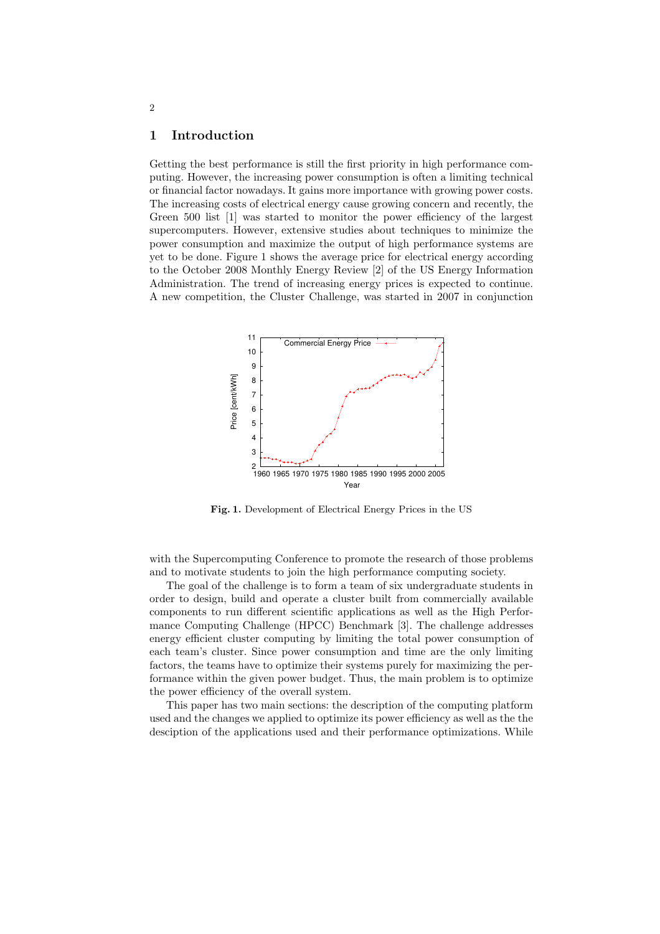## 1 Introduction

Getting the best performance is still the first priority in high performance computing. However, the increasing power consumption is often a limiting technical or financial factor nowadays. It gains more importance with growing power costs. The increasing costs of electrical energy cause growing concern and recently, the Green 500 list [1] was started to monitor the power efficiency of the largest supercomputers. However, extensive studies about techniques to minimize the power consumption and maximize the output of high performance systems are yet to be done. Figure 1 shows the average price for electrical energy according to the October 2008 Monthly Energy Review [2] of the US Energy Information Administration. The trend of increasing energy prices is expected to continue. A new competition, the Cluster Challenge, was started in 2007 in conjunction



Fig. 1. Development of Electrical Energy Prices in the US

with the Supercomputing Conference to promote the research of those problems and to motivate students to join the high performance computing society.

The goal of the challenge is to form a team of six undergraduate students in order to design, build and operate a cluster built from commercially available components to run different scientific applications as well as the High Performance Computing Challenge (HPCC) Benchmark [3]. The challenge addresses energy efficient cluster computing by limiting the total power consumption of each team's cluster. Since power consumption and time are the only limiting factors, the teams have to optimize their systems purely for maximizing the performance within the given power budget. Thus, the main problem is to optimize the power efficiency of the overall system.

This paper has two main sections: the description of the computing platform used and the changes we applied to optimize its power efficiency as well as the the desciption of the applications used and their performance optimizations. While

2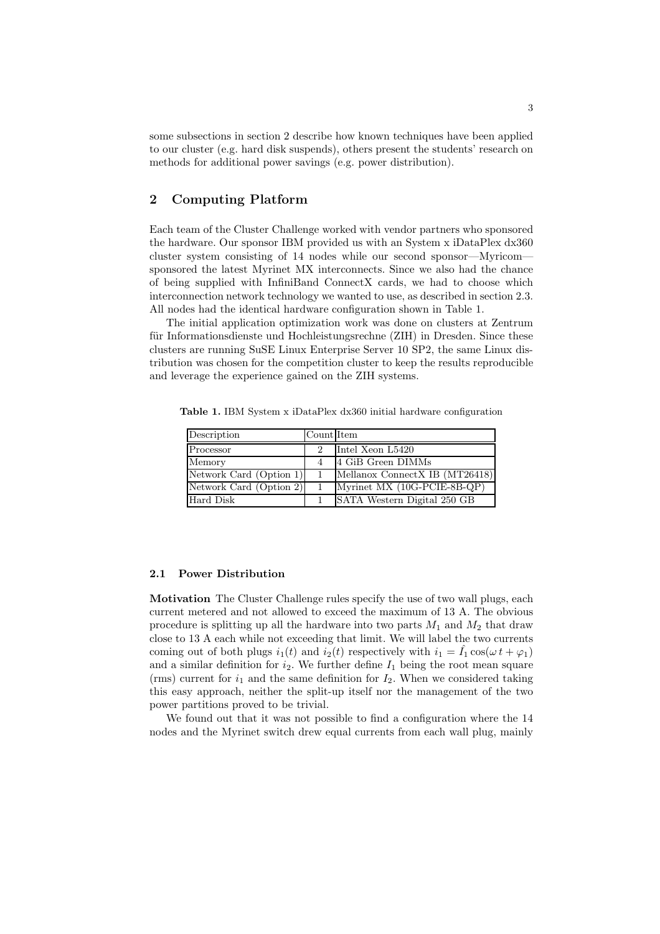some subsections in section 2 describe how known techniques have been applied to our cluster (e.g. hard disk suspends), others present the students' research on methods for additional power savings (e.g. power distribution).

# 2 Computing Platform

Each team of the Cluster Challenge worked with vendor partners who sponsored the hardware. Our sponsor IBM provided us with an System x iDataPlex dx360 cluster system consisting of 14 nodes while our second sponsor—Myricom sponsored the latest Myrinet MX interconnects. Since we also had the chance of being supplied with InfiniBand ConnectX cards, we had to choose which interconnection network technology we wanted to use, as described in section 2.3. All nodes had the identical hardware configuration shown in Table 1.

The initial application optimization work was done on clusters at Zentrum für Informationsdienste und Hochleistungsrechne (ZIH) in Dresden. Since these clusters are running SuSE Linux Enterprise Server 10 SP2, the same Linux distribution was chosen for the competition cluster to keep the results reproducible and leverage the experience gained on the ZIH systems.

Table 1. IBM System x iDataPlex dx360 initial hardware configuration

| Description             | Count Item |                                |
|-------------------------|------------|--------------------------------|
| Processor               |            | Intel Xeon L5420               |
| Memory                  |            | 4 GiB Green DIMMs              |
| Network Card (Option 1) | 1.         | Mellanox ConnectX IB (MT26418) |
| Network Card (Option 2) |            | Myrinet MX (10G-PCIE-8B-QP)    |
| Hard Disk               |            | SATA Western Digital 250 GB    |

#### 2.1 Power Distribution

Motivation The Cluster Challenge rules specify the use of two wall plugs, each current metered and not allowed to exceed the maximum of 13 A. The obvious procedure is splitting up all the hardware into two parts  $M_1$  and  $M_2$  that draw close to 13 A each while not exceeding that limit. We will label the two currents coming out of both plugs  $i_1(t)$  and  $i_2(t)$  respectively with  $i_1 = \hat{I}_1 \cos(\omega t + \varphi_1)$ and a similar definition for  $i_2$ . We further define  $I_1$  being the root mean square (rms) current for  $i_1$  and the same definition for  $I_2$ . When we considered taking this easy approach, neither the split-up itself nor the management of the two power partitions proved to be trivial.

We found out that it was not possible to find a configuration where the 14 nodes and the Myrinet switch drew equal currents from each wall plug, mainly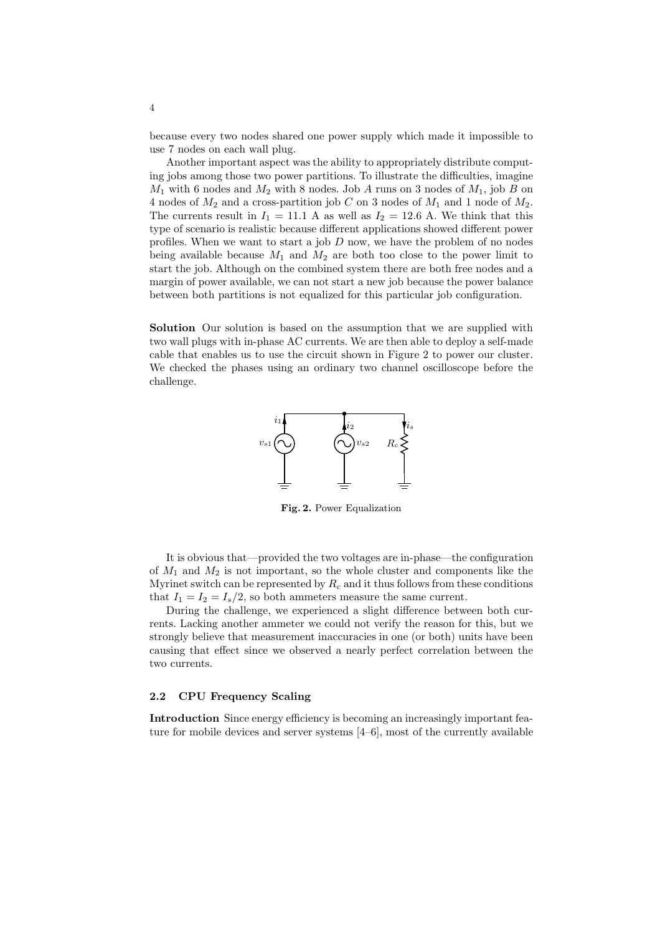because every two nodes shared one power supply which made it impossible to use 7 nodes on each wall plug.

Another important aspect was the ability to appropriately distribute computing jobs among those two power partitions. To illustrate the difficulties, imagine  $M_1$  with 6 nodes and  $M_2$  with 8 nodes. Job A runs on 3 nodes of  $M_1$ , job B on 4 nodes of  $M_2$  and a cross-partition job C on 3 nodes of  $M_1$  and 1 node of  $M_2$ . The currents result in  $I_1 = 11.1$  A as well as  $I_2 = 12.6$  A. We think that this type of scenario is realistic because different applications showed different power profiles. When we want to start a job  $D$  now, we have the problem of no nodes being available because  $M_1$  and  $M_2$  are both too close to the power limit to start the job. Although on the combined system there are both free nodes and a margin of power available, we can not start a new job because the power balance between both partitions is not equalized for this particular job configuration.

Solution Our solution is based on the assumption that we are supplied with two wall plugs with in-phase AC currents. We are then able to deploy a self-made cable that enables us to use the circuit shown in Figure 2 to power our cluster. We checked the phases using an ordinary two channel oscilloscope before the challenge.



Fig. 2. Power Equalization

It is obvious that—provided the two voltages are in-phase—the configuration of  $M_1$  and  $M_2$  is not important, so the whole cluster and components like the Myrinet switch can be represented by  $R_c$  and it thus follows from these conditions that  $I_1 = I_2 = I_s/2$ , so both ammeters measure the same current.

During the challenge, we experienced a slight difference between both currents. Lacking another ammeter we could not verify the reason for this, but we strongly believe that measurement inaccuracies in one (or both) units have been causing that effect since we observed a nearly perfect correlation between the two currents.

#### 2.2 CPU Frequency Scaling

Introduction Since energy efficiency is becoming an increasingly important feature for mobile devices and server systems [4–6], most of the currently available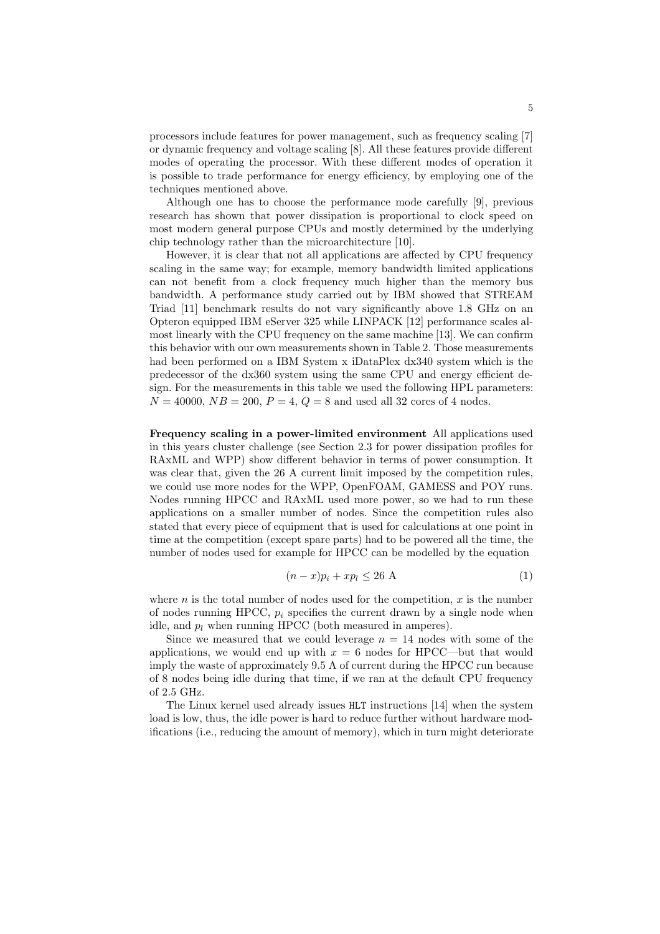processors include features for power management, such as frequency scaling [7] or dynamic frequency and voltage scaling [8]. All these features provide different modes of operating the processor. With these different modes of operation it is possible to trade performance for energy efficiency, by employing one of the techniques mentioned above.

Although one has to choose the performance mode carefully [9], previous research has shown that power dissipation is proportional to clock speed on most modern general purpose CPUs and mostly determined by the underlying chip technology rather than the microarchitecture [10].

However, it is clear that not all applications are affected by CPU frequency scaling in the same way; for example, memory bandwidth limited applications can not benefit from a clock frequency much higher than the memory bus bandwidth. A performance study carried out by IBM showed that STREAM Triad [11] benchmark results do not vary significantly above 1.8 GHz on an Opteron equipped IBM eServer 325 while LINPACK [12] performance scales almost linearly with the CPU frequency on the same machine [13]. We can confirm this behavior with our own measurements shown in Table 2. Those measurements had been performed on a IBM System x iDataPlex dx340 system which is the predecessor of the dx360 system using the same CPU and energy efficient design. For the measurements in this table we used the following HPL parameters:  $N = 40000, NB = 200, P = 4, Q = 8$  and used all 32 cores of 4 nodes.

Frequency scaling in a power-limited environment All applications used in this years cluster challenge (see Section 2.3 for power dissipation profiles for RAxML and WPP) show different behavior in terms of power consumption. It was clear that, given the 26 A current limit imposed by the competition rules, we could use more nodes for the WPP, OpenFOAM, GAMESS and POY runs. Nodes running HPCC and RAxML used more power, so we had to run these applications on a smaller number of nodes. Since the competition rules also stated that every piece of equipment that is used for calculations at one point in time at the competition (except spare parts) had to be powered all the time, the number of nodes used for example for HPCC can be modelled by the equation

$$
(n-x)p_i + xp_l \le 26 \text{ A}
$$
 (1)

where  $n$  is the total number of nodes used for the competition,  $x$  is the number of nodes running HPCC,  $p_i$  specifies the current drawn by a single node when idle, and  $p_l$  when running HPCC (both measured in amperes).

Since we measured that we could leverage  $n = 14$  nodes with some of the applications, we would end up with  $x = 6$  nodes for HPCC—but that would imply the waste of approximately 9.5 A of current during the HPCC run because of 8 nodes being idle during that time, if we ran at the default CPU frequency of 2.5 GHz.

The Linux kernel used already issues HLT instructions [14] when the system load is low, thus, the idle power is hard to reduce further without hardware modifications (i.e., reducing the amount of memory), which in turn might deteriorate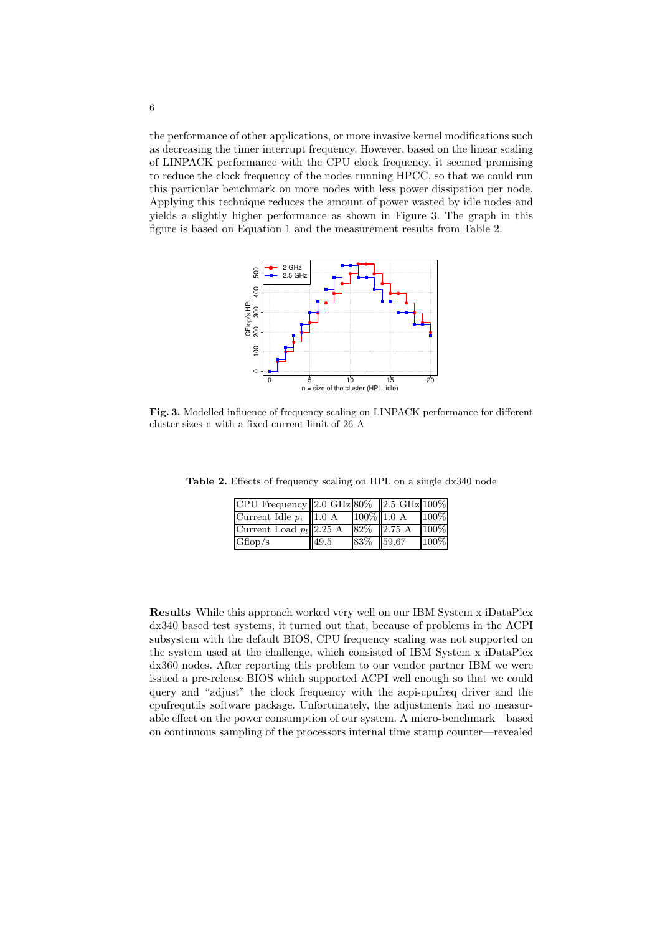the performance of other applications, or more invasive kernel modifications such as decreasing the timer interrupt frequency. However, based on the linear scaling of LINPACK performance with the CPU clock frequency, it seemed promising to reduce the clock frequency of the nodes running HPCC, so that we could run this particular benchmark on more nodes with less power dissipation per node. Applying this technique reduces the amount of power wasted by idle nodes and yields a slightly higher performance as shown in Figure 3. The graph in this figure is based on Equation 1 and the measurement results from Table 2.



Fig. 3. Modelled influence of frequency scaling on LINPACK performance for different cluster sizes n with a fixed current limit of 26 A

| $[CPU$ Frequency $[2.0 \text{ GHz}]80\%$ $[2.5 \text{ GHz}]100\%$ |      |               |         |
|-------------------------------------------------------------------|------|---------------|---------|
| Current Idle $p_i$   1.0 A                                        |      | $100\%$ 1.0 A | 100%    |
| Current Load $p_l    2.25 A$                                      |      | $82\%$ 2.75 A | $100\%$ |
| Gflop/s                                                           | 49.5 | 83\% 59.67    | 100%    |

Table 2. Effects of frequency scaling on HPL on a single dx340 node

Results While this approach worked very well on our IBM System x iDataPlex dx340 based test systems, it turned out that, because of problems in the ACPI subsystem with the default BIOS, CPU frequency scaling was not supported on the system used at the challenge, which consisted of IBM System x iDataPlex dx360 nodes. After reporting this problem to our vendor partner IBM we were issued a pre-release BIOS which supported ACPI well enough so that we could query and "adjust" the clock frequency with the acpi-cpufreq driver and the cpufrequtils software package. Unfortunately, the adjustments had no measurable effect on the power consumption of our system. A micro-benchmark—based on continuous sampling of the processors internal time stamp counter—revealed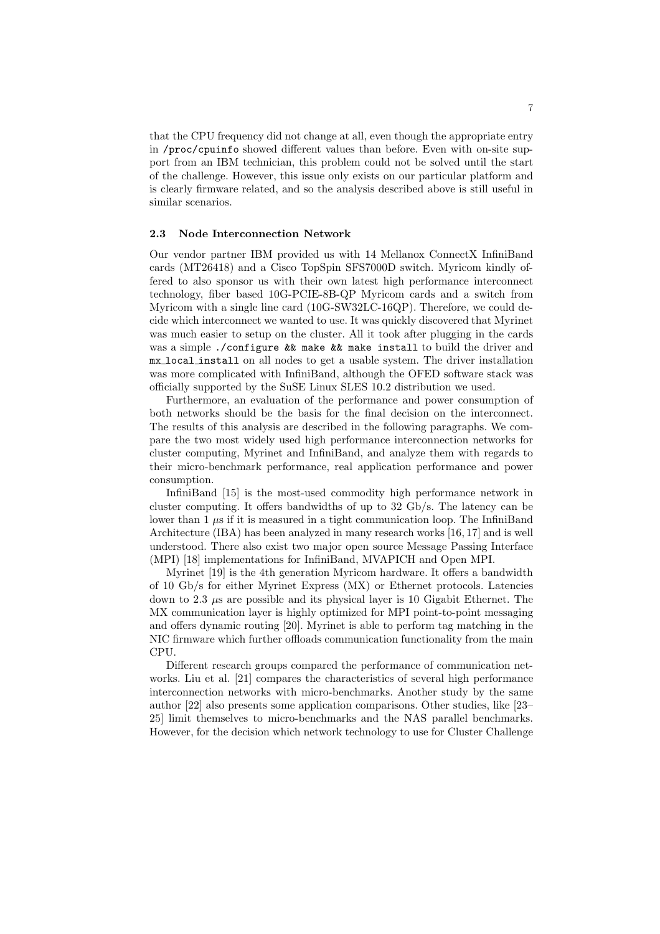that the CPU frequency did not change at all, even though the appropriate entry in /proc/cpuinfo showed different values than before. Even with on-site support from an IBM technician, this problem could not be solved until the start of the challenge. However, this issue only exists on our particular platform and is clearly firmware related, and so the analysis described above is still useful in similar scenarios.

#### 2.3 Node Interconnection Network

Our vendor partner IBM provided us with 14 Mellanox ConnectX InfiniBand cards (MT26418) and a Cisco TopSpin SFS7000D switch. Myricom kindly offered to also sponsor us with their own latest high performance interconnect technology, fiber based 10G-PCIE-8B-QP Myricom cards and a switch from Myricom with a single line card (10G-SW32LC-16QP). Therefore, we could decide which interconnect we wanted to use. It was quickly discovered that Myrinet was much easier to setup on the cluster. All it took after plugging in the cards was a simple ./configure && make && make install to build the driver and mx local install on all nodes to get a usable system. The driver installation was more complicated with InfiniBand, although the OFED software stack was officially supported by the SuSE Linux SLES 10.2 distribution we used.

Furthermore, an evaluation of the performance and power consumption of both networks should be the basis for the final decision on the interconnect. The results of this analysis are described in the following paragraphs. We compare the two most widely used high performance interconnection networks for cluster computing, Myrinet and InfiniBand, and analyze them with regards to their micro-benchmark performance, real application performance and power consumption.

InfiniBand [15] is the most-used commodity high performance network in cluster computing. It offers bandwidths of up to 32 Gb/s. The latency can be lower than  $1 \mu s$  if it is measured in a tight communication loop. The InfiniBand Architecture (IBA) has been analyzed in many research works [16, 17] and is well understood. There also exist two major open source Message Passing Interface (MPI) [18] implementations for InfiniBand, MVAPICH and Open MPI.

Myrinet [19] is the 4th generation Myricom hardware. It offers a bandwidth of 10 Gb/s for either Myrinet Express (MX) or Ethernet protocols. Latencies down to 2.3  $\mu$ s are possible and its physical layer is 10 Gigabit Ethernet. The MX communication layer is highly optimized for MPI point-to-point messaging and offers dynamic routing [20]. Myrinet is able to perform tag matching in the NIC firmware which further offloads communication functionality from the main CPU.

Different research groups compared the performance of communication networks. Liu et al. [21] compares the characteristics of several high performance interconnection networks with micro-benchmarks. Another study by the same author [22] also presents some application comparisons. Other studies, like [23– 25] limit themselves to micro-benchmarks and the NAS parallel benchmarks. However, for the decision which network technology to use for Cluster Challenge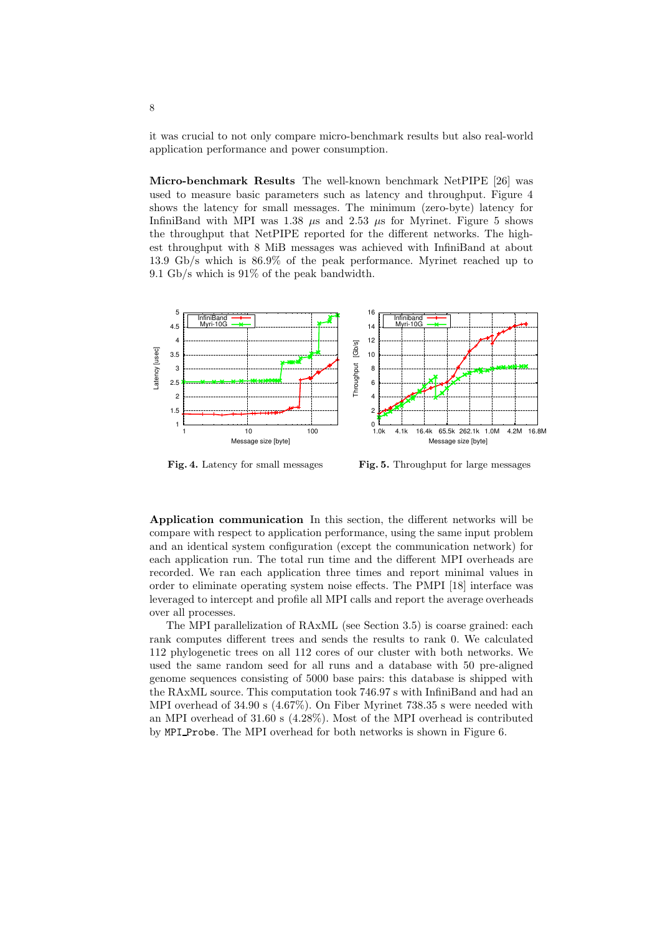it was crucial to not only compare micro-benchmark results but also real-world application performance and power consumption.

Micro-benchmark Results The well-known benchmark NetPIPE [26] was used to measure basic parameters such as latency and throughput. Figure 4 shows the latency for small messages. The minimum (zero-byte) latency for InfiniBand with MPI was 1.38  $\mu$ s and 2.53  $\mu$ s for Myrinet. Figure 5 shows the throughput that NetPIPE reported for the different networks. The highest throughput with 8 MiB messages was achieved with InfiniBand at about 13.9 Gb/s which is 86.9% of the peak performance. Myrinet reached up to 9.1 Gb/s which is 91% of the peak bandwidth.



Fig. 4. Latency for small messages Fig. 5. Throughput for large messages

Application communication In this section, the different networks will be compare with respect to application performance, using the same input problem and an identical system configuration (except the communication network) for each application run. The total run time and the different MPI overheads are recorded. We ran each application three times and report minimal values in order to eliminate operating system noise effects. The PMPI [18] interface was leveraged to intercept and profile all MPI calls and report the average overheads over all processes.

The MPI parallelization of RAxML (see Section 3.5) is coarse grained: each rank computes different trees and sends the results to rank 0. We calculated 112 phylogenetic trees on all 112 cores of our cluster with both networks. We used the same random seed for all runs and a database with 50 pre-aligned genome sequences consisting of 5000 base pairs: this database is shipped with the RAxML source. This computation took 746.97 s with InfiniBand and had an MPI overhead of 34.90 s (4.67%). On Fiber Myrinet 738.35 s were needed with an MPI overhead of 31.60 s (4.28%). Most of the MPI overhead is contributed by MPI Probe. The MPI overhead for both networks is shown in Figure 6.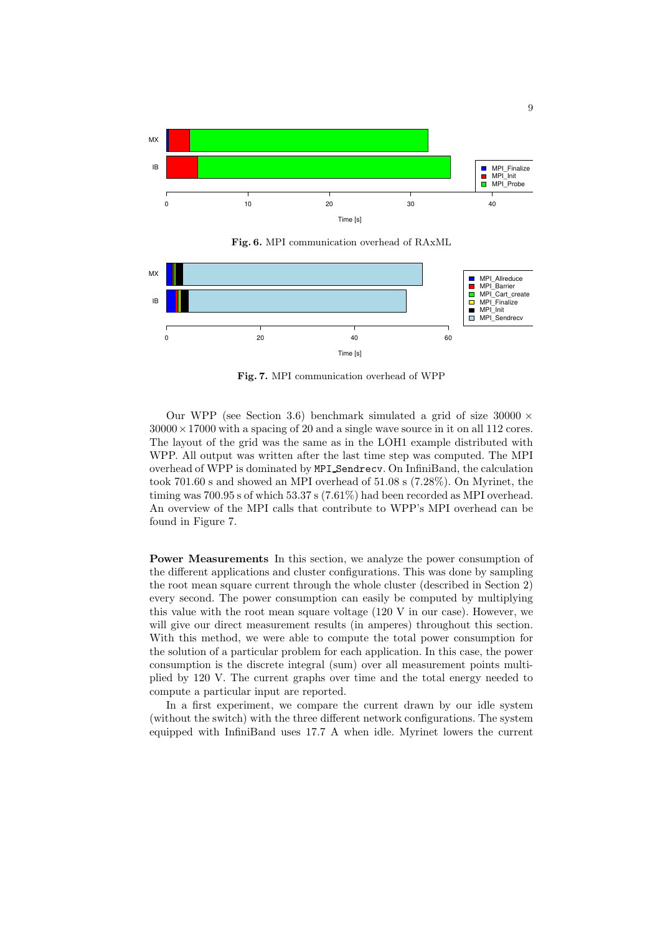

Fig. 6. MPI communication overhead of RAxML



Fig. 7. MPI communication overhead of WPP

Our WPP (see Section 3.6) benchmark simulated a grid of size  $30000 \times$  $30000 \times 17000$  with a spacing of 20 and a single wave source in it on all 112 cores. The layout of the grid was the same as in the LOH1 example distributed with WPP. All output was written after the last time step was computed. The MPI overhead of WPP is dominated by MPI Sendrecv. On InfiniBand, the calculation took 701.60 s and showed an MPI overhead of 51.08 s (7.28%). On Myrinet, the timing was  $700.95$  s of which  $53.37$  s  $(7.61\%)$  had been recorded as MPI overhead. An overview of the MPI calls that contribute to WPP's MPI overhead can be found in Figure 7.

Power Measurements In this section, we analyze the power consumption of the different applications and cluster configurations. This was done by sampling the root mean square current through the whole cluster (described in Section 2) every second. The power consumption can easily be computed by multiplying this value with the root mean square voltage (120 V in our case). However, we will give our direct measurement results (in amperes) throughout this section. With this method, we were able to compute the total power consumption for the solution of a particular problem for each application. In this case, the power consumption is the discrete integral (sum) over all measurement points multiplied by 120 V. The current graphs over time and the total energy needed to compute a particular input are reported.

In a first experiment, we compare the current drawn by our idle system (without the switch) with the three different network configurations. The system equipped with InfiniBand uses 17.7 A when idle. Myrinet lowers the current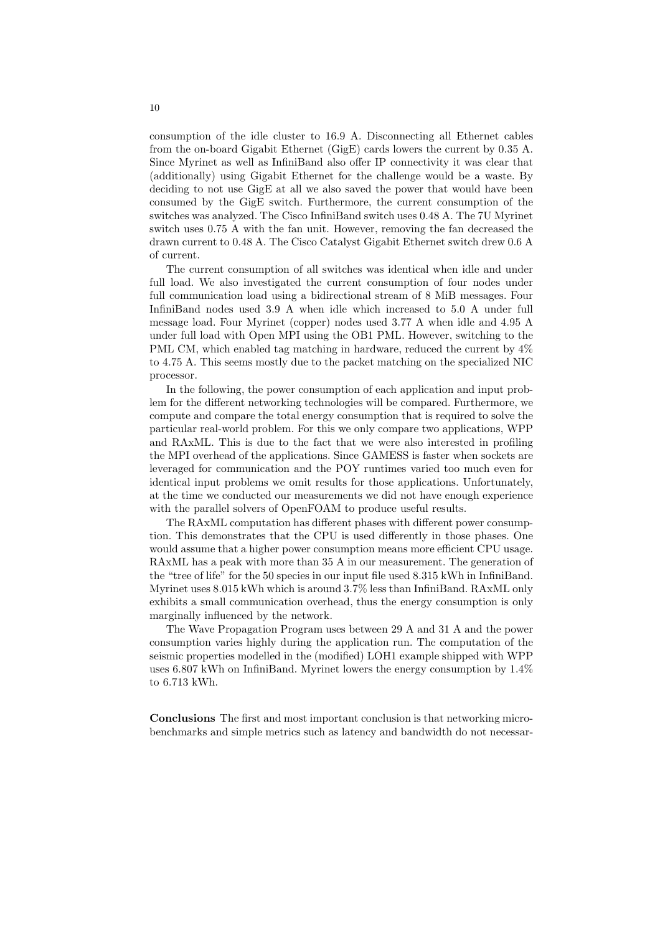consumption of the idle cluster to 16.9 A. Disconnecting all Ethernet cables from the on-board Gigabit Ethernet (GigE) cards lowers the current by 0.35 A. Since Myrinet as well as InfiniBand also offer IP connectivity it was clear that (additionally) using Gigabit Ethernet for the challenge would be a waste. By deciding to not use GigE at all we also saved the power that would have been consumed by the GigE switch. Furthermore, the current consumption of the switches was analyzed. The Cisco InfiniBand switch uses 0.48 A. The 7U Myrinet switch uses 0.75 A with the fan unit. However, removing the fan decreased the drawn current to 0.48 A. The Cisco Catalyst Gigabit Ethernet switch drew 0.6 A of current.

The current consumption of all switches was identical when idle and under full load. We also investigated the current consumption of four nodes under full communication load using a bidirectional stream of 8 MiB messages. Four InfiniBand nodes used 3.9 A when idle which increased to 5.0 A under full message load. Four Myrinet (copper) nodes used 3.77 A when idle and 4.95 A under full load with Open MPI using the OB1 PML. However, switching to the PML CM, which enabled tag matching in hardware, reduced the current by  $4\%$ to 4.75 A. This seems mostly due to the packet matching on the specialized NIC processor.

In the following, the power consumption of each application and input problem for the different networking technologies will be compared. Furthermore, we compute and compare the total energy consumption that is required to solve the particular real-world problem. For this we only compare two applications, WPP and RAxML. This is due to the fact that we were also interested in profiling the MPI overhead of the applications. Since GAMESS is faster when sockets are leveraged for communication and the POY runtimes varied too much even for identical input problems we omit results for those applications. Unfortunately, at the time we conducted our measurements we did not have enough experience with the parallel solvers of OpenFOAM to produce useful results.

The RAxML computation has different phases with different power consumption. This demonstrates that the CPU is used differently in those phases. One would assume that a higher power consumption means more efficient CPU usage. RAxML has a peak with more than 35 A in our measurement. The generation of the "tree of life" for the 50 species in our input file used 8.315 kWh in InfiniBand. Myrinet uses 8.015 kWh which is around 3.7% less than InfiniBand. RAxML only exhibits a small communication overhead, thus the energy consumption is only marginally influenced by the network.

The Wave Propagation Program uses between 29 A and 31 A and the power consumption varies highly during the application run. The computation of the seismic properties modelled in the (modified) LOH1 example shipped with WPP uses 6.807 kWh on InfiniBand. Myrinet lowers the energy consumption by 1.4% to 6.713 kWh.

Conclusions The first and most important conclusion is that networking microbenchmarks and simple metrics such as latency and bandwidth do not necessar-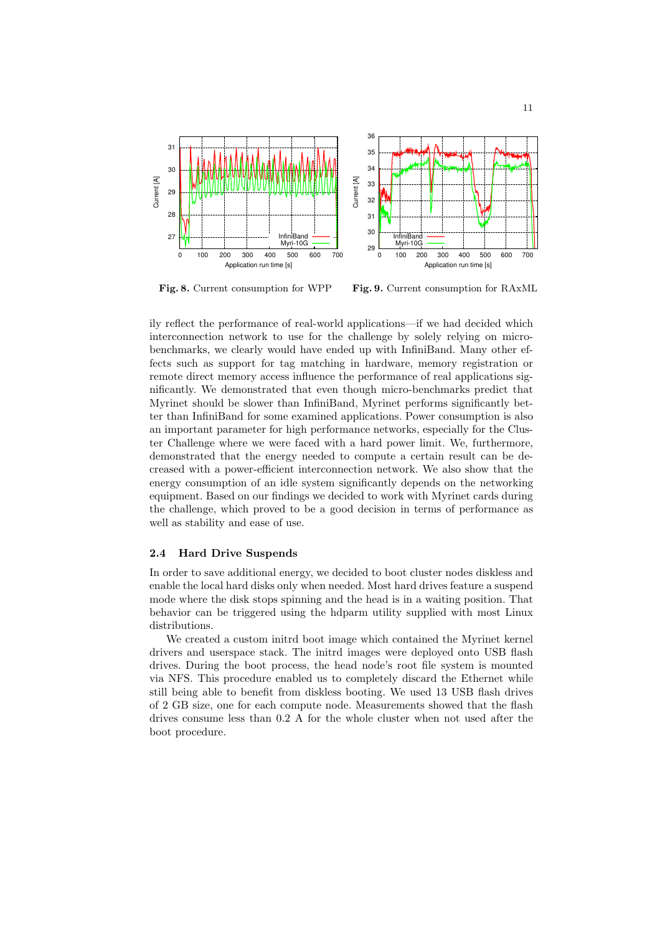

Fig. 8. Current consumption for WPP

Fig. 9. Current consumption for RAxML

ily reflect the performance of real-world applications—if we had decided which interconnection network to use for the challenge by solely relying on microbenchmarks, we clearly would have ended up with InfiniBand. Many other effects such as support for tag matching in hardware, memory registration or remote direct memory access influence the performance of real applications significantly. We demonstrated that even though micro-benchmarks predict that Myrinet should be slower than InfiniBand, Myrinet performs significantly better than InfiniBand for some examined applications. Power consumption is also an important parameter for high performance networks, especially for the Cluster Challenge where we were faced with a hard power limit. We, furthermore, demonstrated that the energy needed to compute a certain result can be decreased with a power-efficient interconnection network. We also show that the energy consumption of an idle system significantly depends on the networking equipment. Based on our findings we decided to work with Myrinet cards during the challenge, which proved to be a good decision in terms of performance as well as stability and ease of use.

#### 2.4 Hard Drive Suspends

In order to save additional energy, we decided to boot cluster nodes diskless and enable the local hard disks only when needed. Most hard drives feature a suspend mode where the disk stops spinning and the head is in a waiting position. That behavior can be triggered using the hdparm utility supplied with most Linux distributions.

We created a custom initrd boot image which contained the Myrinet kernel drivers and userspace stack. The initrd images were deployed onto USB flash drives. During the boot process, the head node's root file system is mounted via NFS. This procedure enabled us to completely discard the Ethernet while still being able to benefit from diskless booting. We used 13 USB flash drives of 2 GB size, one for each compute node. Measurements showed that the flash drives consume less than 0.2 A for the whole cluster when not used after the boot procedure.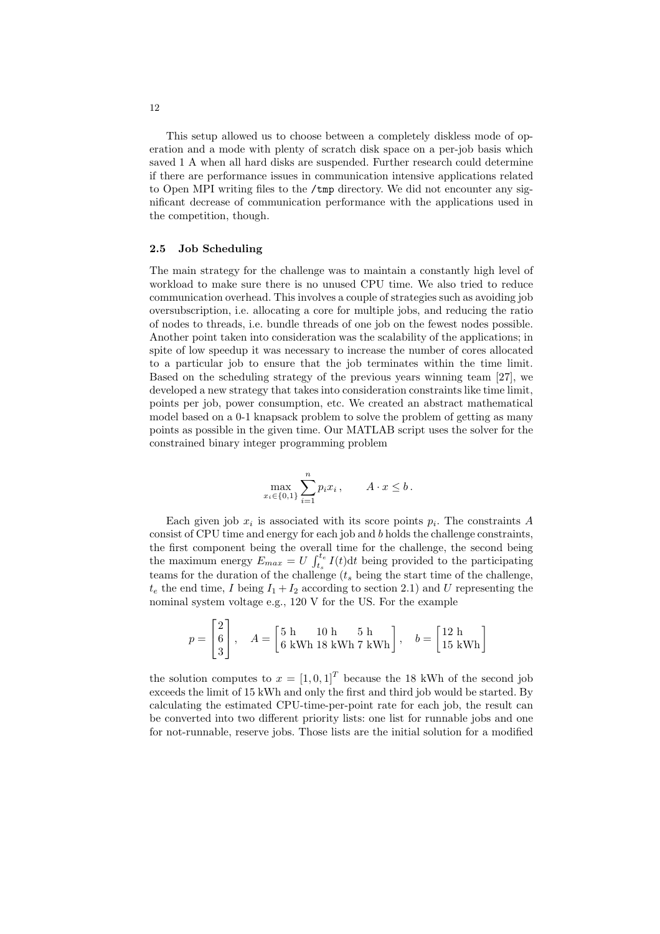This setup allowed us to choose between a completely diskless mode of operation and a mode with plenty of scratch disk space on a per-job basis which saved 1 A when all hard disks are suspended. Further research could determine if there are performance issues in communication intensive applications related to Open MPI writing files to the /tmp directory. We did not encounter any significant decrease of communication performance with the applications used in the competition, though.

#### 2.5 Job Scheduling

The main strategy for the challenge was to maintain a constantly high level of workload to make sure there is no unused CPU time. We also tried to reduce communication overhead. This involves a couple of strategies such as avoiding job oversubscription, i.e. allocating a core for multiple jobs, and reducing the ratio of nodes to threads, i.e. bundle threads of one job on the fewest nodes possible. Another point taken into consideration was the scalability of the applications; in spite of low speedup it was necessary to increase the number of cores allocated to a particular job to ensure that the job terminates within the time limit. Based on the scheduling strategy of the previous years winning team [27], we developed a new strategy that takes into consideration constraints like time limit, points per job, power consumption, etc. We created an abstract mathematical model based on a 0-1 knapsack problem to solve the problem of getting as many points as possible in the given time. Our MATLAB script uses the solver for the constrained binary integer programming problem

$$
\max_{x_i \in \{0,1\}} \sum_{i=1}^n p_i x_i , \qquad A \cdot x \le b \, .
$$

Each given job  $x_i$  is associated with its score points  $p_i$ . The constraints A consist of CPU time and energy for each job and b holds the challenge constraints, the first component being the overall time for the challenge, the second being the maximum energy  $E_{max} = U \int_{t_s}^{t_e} I(t) dt$  being provided to the participating teams for the duration of the challenge  $(t_s)$  being the start time of the challenge,  $t_e$  the end time, I being  $I_1 + I_2$  according to section 2.1) and U representing the nominal system voltage e.g., 120 V for the US. For the example

$$
p = \begin{bmatrix} 2 \\ 6 \\ 3 \end{bmatrix}, \quad A = \begin{bmatrix} 5 \text{ h} & 10 \text{ h} & 5 \text{ h} \\ 6 \text{ kWh } 18 \text{ kWh } 7 \text{ kWh} \end{bmatrix}, \quad b = \begin{bmatrix} 12 \text{ h} \\ 15 \text{ kWh} \end{bmatrix}
$$

the solution computes to  $x = [1, 0, 1]^T$  because the 18 kWh of the second job exceeds the limit of 15 kWh and only the first and third job would be started. By calculating the estimated CPU-time-per-point rate for each job, the result can be converted into two different priority lists: one list for runnable jobs and one for not-runnable, reserve jobs. Those lists are the initial solution for a modified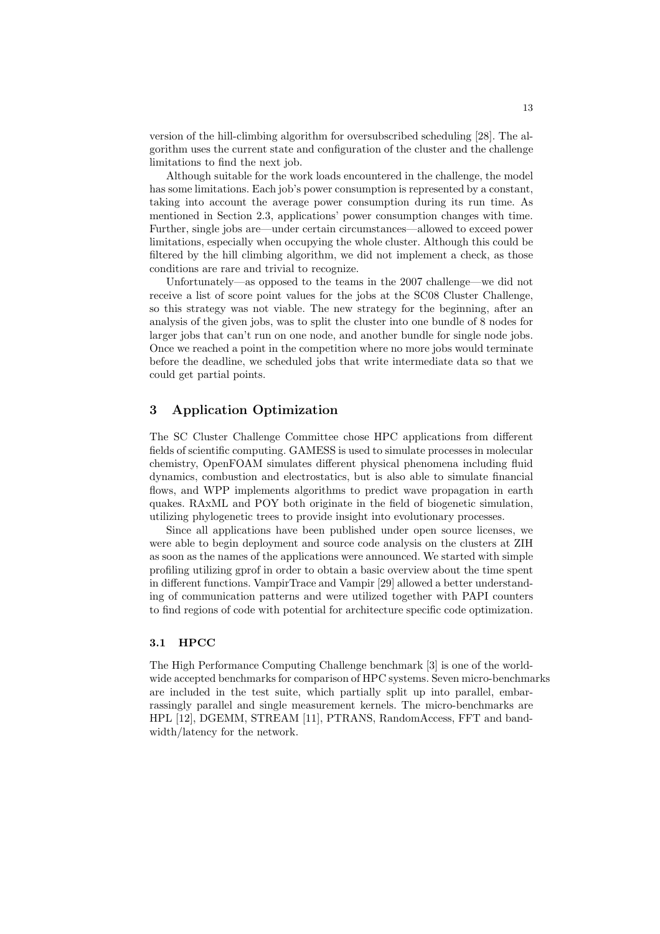version of the hill-climbing algorithm for oversubscribed scheduling [28]. The algorithm uses the current state and configuration of the cluster and the challenge limitations to find the next job.

Although suitable for the work loads encountered in the challenge, the model has some limitations. Each job's power consumption is represented by a constant, taking into account the average power consumption during its run time. As mentioned in Section 2.3, applications' power consumption changes with time. Further, single jobs are—under certain circumstances—allowed to exceed power limitations, especially when occupying the whole cluster. Although this could be filtered by the hill climbing algorithm, we did not implement a check, as those conditions are rare and trivial to recognize.

Unfortunately—as opposed to the teams in the 2007 challenge—we did not receive a list of score point values for the jobs at the SC08 Cluster Challenge, so this strategy was not viable. The new strategy for the beginning, after an analysis of the given jobs, was to split the cluster into one bundle of 8 nodes for larger jobs that can't run on one node, and another bundle for single node jobs. Once we reached a point in the competition where no more jobs would terminate before the deadline, we scheduled jobs that write intermediate data so that we could get partial points.

# 3 Application Optimization

The SC Cluster Challenge Committee chose HPC applications from different fields of scientific computing. GAMESS is used to simulate processes in molecular chemistry, OpenFOAM simulates different physical phenomena including fluid dynamics, combustion and electrostatics, but is also able to simulate financial flows, and WPP implements algorithms to predict wave propagation in earth quakes. RAxML and POY both originate in the field of biogenetic simulation, utilizing phylogenetic trees to provide insight into evolutionary processes.

Since all applications have been published under open source licenses, we were able to begin deployment and source code analysis on the clusters at ZIH as soon as the names of the applications were announced. We started with simple profiling utilizing gprof in order to obtain a basic overview about the time spent in different functions. VampirTrace and Vampir [29] allowed a better understanding of communication patterns and were utilized together with PAPI counters to find regions of code with potential for architecture specific code optimization.

## 3.1 HPCC

The High Performance Computing Challenge benchmark [3] is one of the worldwide accepted benchmarks for comparison of HPC systems. Seven micro-benchmarks are included in the test suite, which partially split up into parallel, embarrassingly parallel and single measurement kernels. The micro-benchmarks are HPL [12], DGEMM, STREAM [11], PTRANS, RandomAccess, FFT and bandwidth/latency for the network.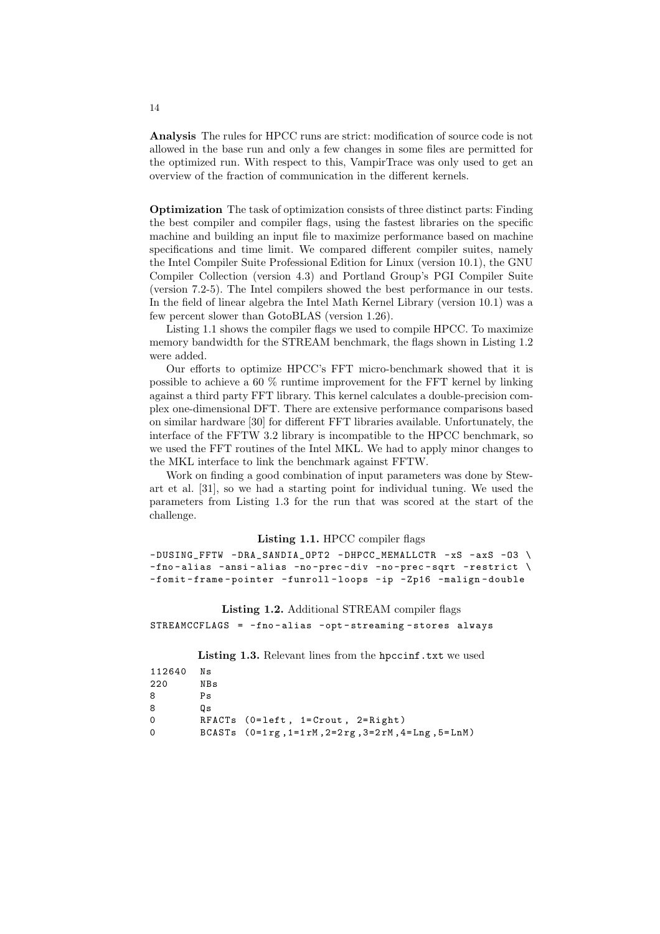Analysis The rules for HPCC runs are strict: modification of source code is not allowed in the base run and only a few changes in some files are permitted for the optimized run. With respect to this, VampirTrace was only used to get an overview of the fraction of communication in the different kernels.

Optimization The task of optimization consists of three distinct parts: Finding the best compiler and compiler flags, using the fastest libraries on the specific machine and building an input file to maximize performance based on machine specifications and time limit. We compared different compiler suites, namely the Intel Compiler Suite Professional Edition for Linux (version 10.1), the GNU Compiler Collection (version 4.3) and Portland Group's PGI Compiler Suite (version 7.2-5). The Intel compilers showed the best performance in our tests. In the field of linear algebra the Intel Math Kernel Library (version 10.1) was a few percent slower than GotoBLAS (version 1.26).

Listing 1.1 shows the compiler flags we used to compile HPCC. To maximize memory bandwidth for the STREAM benchmark, the flags shown in Listing 1.2 were added.

Our efforts to optimize HPCC's FFT micro-benchmark showed that it is possible to achieve a 60 % runtime improvement for the FFT kernel by linking against a third party FFT library. This kernel calculates a double-precision complex one-dimensional DFT. There are extensive performance comparisons based on similar hardware [30] for different FFT libraries available. Unfortunately, the interface of the FFTW 3.2 library is incompatible to the HPCC benchmark, so we used the FFT routines of the Intel MKL. We had to apply minor changes to the MKL interface to link the benchmark against FFTW.

Work on finding a good combination of input parameters was done by Stewart et al. [31], so we had a starting point for individual tuning. We used the parameters from Listing 1.3 for the run that was scored at the start of the challenge.

#### Listing 1.1. HPCC compiler flags

 $-$  DUSING\_FFTW  $-$  DRA\_SANDIA\_OPT2 - DHPCC\_MEMALLCTR -xS - axS -03 \  $-$ fno-alias -ansi-alias -no-prec-div -no-prec-sqrt -restrict \ -fomit-frame-pointer -funroll-loops -ip -Zp16 -malign-double

Listing 1.2. Additional STREAM compiler flags STREAMCCFLAGS = -fno - alias -opt - streaming - stores always

Listing 1.3. Relevant lines from the hpccinf.txt we used

| 112640 | Νs  |                                                                                     |
|--------|-----|-------------------------------------------------------------------------------------|
| 220    | NBs |                                                                                     |
| 8      | Ps  |                                                                                     |
| 8      | Ωs  |                                                                                     |
| 0      |     | RFACTs (0=left, 1=Crout, 2=Right)                                                   |
| 0      |     | BCASTs $(0=1 \text{rg}, 1=1 \text{rM}, 2=2 \text{rg}, 3=2 \text{rM}, 4=Lng, 5=LnM)$ |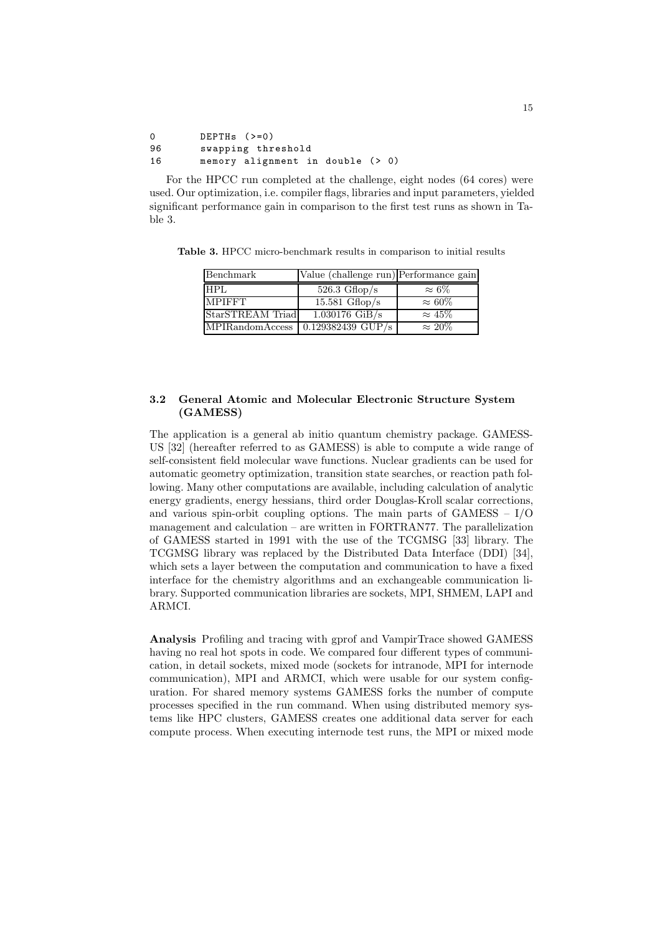```
0 DEPTHs (>=0)96 swapping threshold
16 memory alignment in double (> 0)
```
For the HPCC run completed at the challenge, eight nodes (64 cores) were used. Our optimization, i.e. compiler flags, libraries and input parameters, yielded significant performance gain in comparison to the first test runs as shown in Table 3.

| Benchmark        | Value (challenge run) Performance gain      |                |
|------------------|---------------------------------------------|----------------|
| HPL              | $526.3 \text{ Gflop/s}$                     | $\approx 6\%$  |
| <b>MPIFFT</b>    | 15.581 $Gflop/s$                            | $\approx 60\%$ |
| StarSTREAM Triad | $\overline{1.030176}$ GiB/s                 | $\approx 45\%$ |
|                  | $MPIR and \non A \nceess$ 0.129382439 GUP/s | $\approx 20\%$ |

Table 3. HPCC micro-benchmark results in comparison to initial results

## 3.2 General Atomic and Molecular Electronic Structure System (GAMESS)

The application is a general ab initio quantum chemistry package. GAMESS-US [32] (hereafter referred to as GAMESS) is able to compute a wide range of self-consistent field molecular wave functions. Nuclear gradients can be used for automatic geometry optimization, transition state searches, or reaction path following. Many other computations are available, including calculation of analytic energy gradients, energy hessians, third order Douglas-Kroll scalar corrections, and various spin-orbit coupling options. The main parts of  $GAMES - I/O$ management and calculation – are written in FORTRAN77. The parallelization of GAMESS started in 1991 with the use of the TCGMSG [33] library. The TCGMSG library was replaced by the Distributed Data Interface (DDI) [34], which sets a layer between the computation and communication to have a fixed interface for the chemistry algorithms and an exchangeable communication library. Supported communication libraries are sockets, MPI, SHMEM, LAPI and ARMCI.

Analysis Profiling and tracing with gprof and VampirTrace showed GAMESS having no real hot spots in code. We compared four different types of communication, in detail sockets, mixed mode (sockets for intranode, MPI for internode communication), MPI and ARMCI, which were usable for our system configuration. For shared memory systems GAMESS forks the number of compute processes specified in the run command. When using distributed memory systems like HPC clusters, GAMESS creates one additional data server for each compute process. When executing internode test runs, the MPI or mixed mode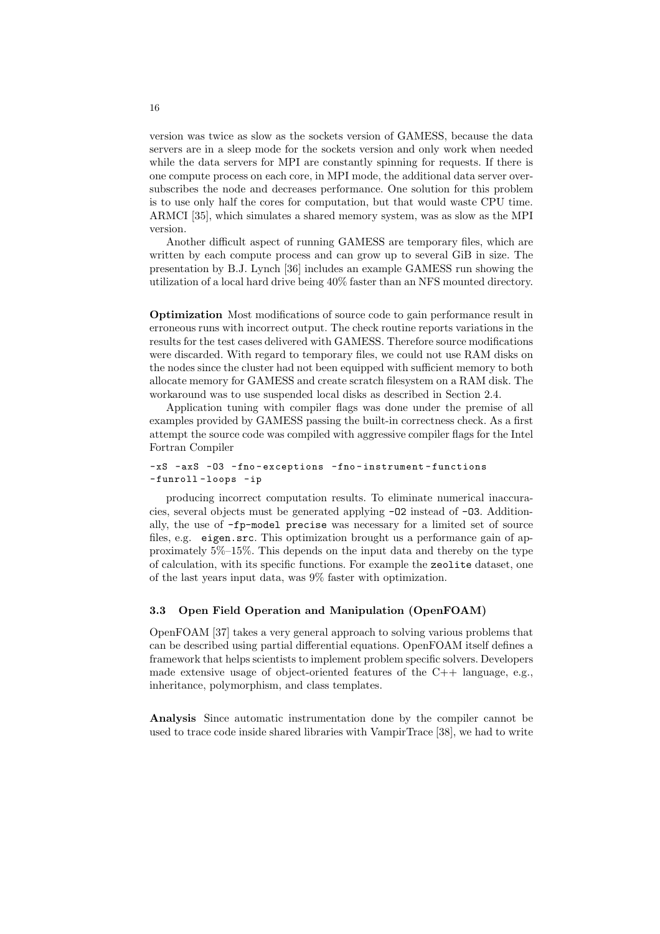version was twice as slow as the sockets version of GAMESS, because the data servers are in a sleep mode for the sockets version and only work when needed while the data servers for MPI are constantly spinning for requests. If there is one compute process on each core, in MPI mode, the additional data server oversubscribes the node and decreases performance. One solution for this problem is to use only half the cores for computation, but that would waste CPU time. ARMCI [35], which simulates a shared memory system, was as slow as the MPI version.

Another difficult aspect of running GAMESS are temporary files, which are written by each compute process and can grow up to several GiB in size. The presentation by B.J. Lynch [36] includes an example GAMESS run showing the utilization of a local hard drive being 40% faster than an NFS mounted directory.

Optimization Most modifications of source code to gain performance result in erroneous runs with incorrect output. The check routine reports variations in the results for the test cases delivered with GAMESS. Therefore source modifications were discarded. With regard to temporary files, we could not use RAM disks on the nodes since the cluster had not been equipped with sufficient memory to both allocate memory for GAMESS and create scratch filesystem on a RAM disk. The workaround was to use suspended local disks as described in Section 2.4.

Application tuning with compiler flags was done under the premise of all examples provided by GAMESS passing the built-in correctness check. As a first attempt the source code was compiled with aggressive compiler flags for the Intel Fortran Compiler

#### -xS -axS -O3 -fno - exceptions -fno - instrument - functions - funroll - loops -ip

producing incorrect computation results. To eliminate numerical inaccuracies, several objects must be generated applying -O2 instead of -O3. Additionally, the use of -fp-model precise was necessary for a limited set of source files, e.g. eigen.src. This optimization brought us a performance gain of approximately 5%–15%. This depends on the input data and thereby on the type of calculation, with its specific functions. For example the zeolite dataset, one of the last years input data, was 9% faster with optimization.

#### 3.3 Open Field Operation and Manipulation (OpenFOAM)

OpenFOAM [37] takes a very general approach to solving various problems that can be described using partial differential equations. OpenFOAM itself defines a framework that helps scientists to implement problem specific solvers. Developers made extensive usage of object-oriented features of the C++ language, e.g., inheritance, polymorphism, and class templates.

Analysis Since automatic instrumentation done by the compiler cannot be used to trace code inside shared libraries with VampirTrace [38], we had to write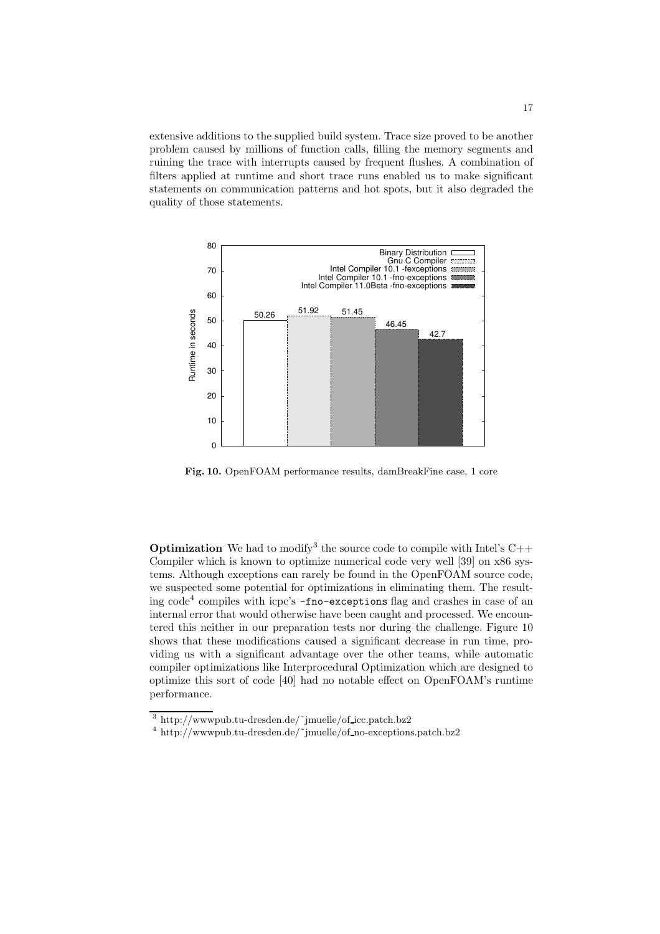extensive additions to the supplied build system. Trace size proved to be another problem caused by millions of function calls, filling the memory segments and ruining the trace with interrupts caused by frequent flushes. A combination of filters applied at runtime and short trace runs enabled us to make significant statements on communication patterns and hot spots, but it also degraded the quality of those statements.



Fig. 10. OpenFOAM performance results, damBreakFine case, 1 core

**Optimization** We had to modify<sup>3</sup> the source code to compile with Intel's  $C++$ Compiler which is known to optimize numerical code very well [39] on x86 systems. Although exceptions can rarely be found in the OpenFOAM source code, we suspected some potential for optimizations in eliminating them. The resulting code<sup>4</sup> compiles with icpc's -fno-exceptions flag and crashes in case of an internal error that would otherwise have been caught and processed. We encountered this neither in our preparation tests nor during the challenge. Figure 10 shows that these modifications caused a significant decrease in run time, providing us with a significant advantage over the other teams, while automatic compiler optimizations like Interprocedural Optimization which are designed to optimize this sort of code [40] had no notable effect on OpenFOAM's runtime performance.

 $3$  http://wwwpub.tu-dresden.de/~jmuelle/of\_icc.patch.bz2

 $^4$ http://wwwpub.tu-dresden.de/~jmuelle/of\_no-exceptions.patch.bz2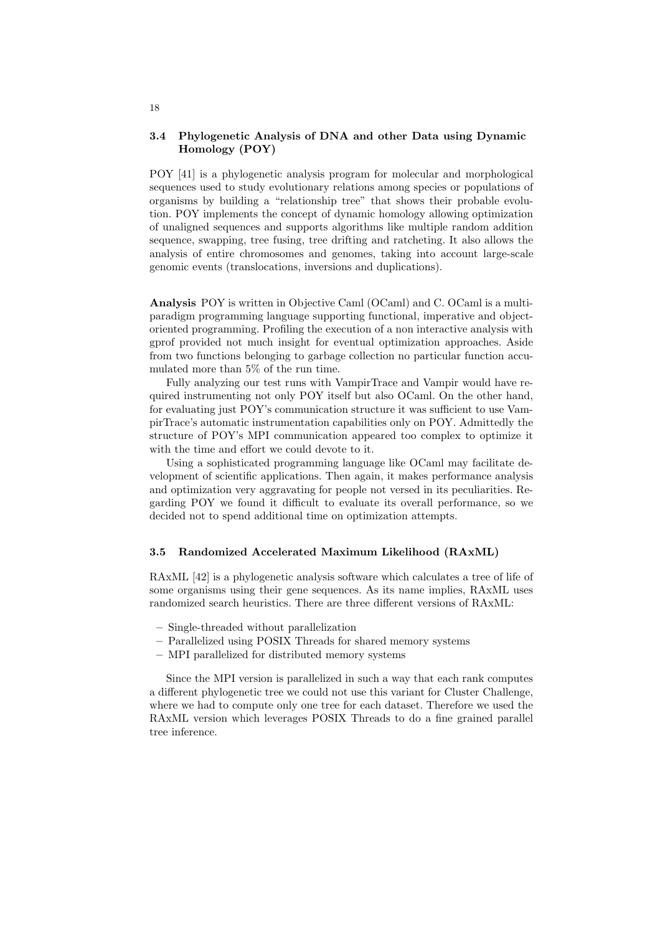#### 3.4 Phylogenetic Analysis of DNA and other Data using Dynamic Homology (POY)

POY [41] is a phylogenetic analysis program for molecular and morphological sequences used to study evolutionary relations among species or populations of organisms by building a "relationship tree" that shows their probable evolution. POY implements the concept of dynamic homology allowing optimization of unaligned sequences and supports algorithms like multiple random addition sequence, swapping, tree fusing, tree drifting and ratcheting. It also allows the analysis of entire chromosomes and genomes, taking into account large-scale genomic events (translocations, inversions and duplications).

Analysis POY is written in Objective Caml (OCaml) and C. OCaml is a multiparadigm programming language supporting functional, imperative and objectoriented programming. Profiling the execution of a non interactive analysis with gprof provided not much insight for eventual optimization approaches. Aside from two functions belonging to garbage collection no particular function accumulated more than 5% of the run time.

Fully analyzing our test runs with VampirTrace and Vampir would have required instrumenting not only POY itself but also OCaml. On the other hand, for evaluating just POY's communication structure it was sufficient to use VampirTrace's automatic instrumentation capabilities only on POY. Admittedly the structure of POY's MPI communication appeared too complex to optimize it with the time and effort we could devote to it.

Using a sophisticated programming language like OCaml may facilitate development of scientific applications. Then again, it makes performance analysis and optimization very aggravating for people not versed in its peculiarities. Regarding POY we found it difficult to evaluate its overall performance, so we decided not to spend additional time on optimization attempts.

## 3.5 Randomized Accelerated Maximum Likelihood (RAxML)

RAxML [42] is a phylogenetic analysis software which calculates a tree of life of some organisms using their gene sequences. As its name implies, RAxML uses randomized search heuristics. There are three different versions of RAxML:

- Single-threaded without parallelization
- Parallelized using POSIX Threads for shared memory systems
- MPI parallelized for distributed memory systems

Since the MPI version is parallelized in such a way that each rank computes a different phylogenetic tree we could not use this variant for Cluster Challenge, where we had to compute only one tree for each dataset. Therefore we used the RAxML version which leverages POSIX Threads to do a fine grained parallel tree inference.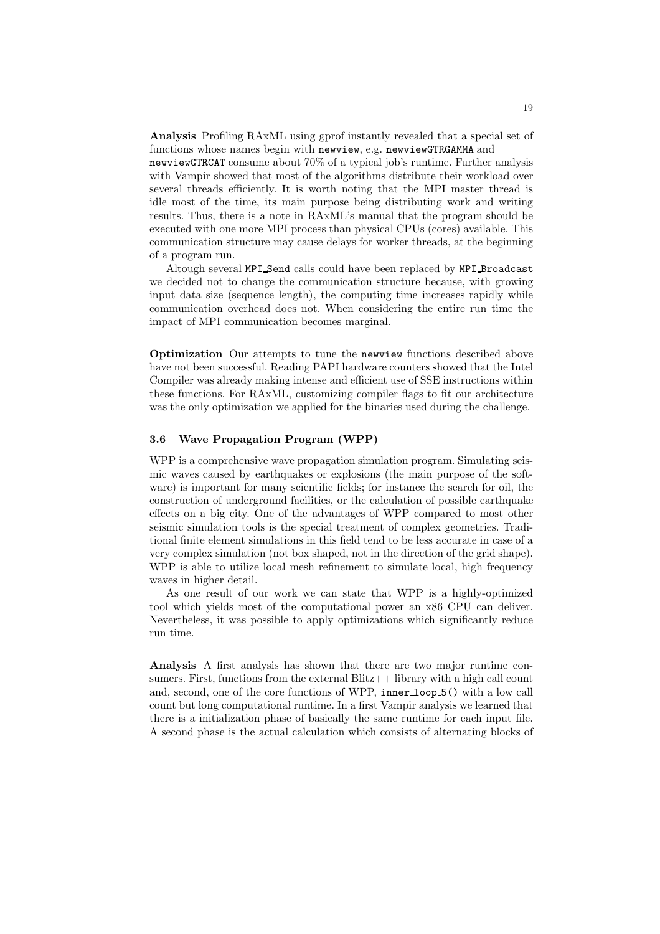Analysis Profiling RAxML using gprof instantly revealed that a special set of functions whose names begin with newview, e.g. newviewGTRGAMMA and

newviewGTRCAT consume about 70% of a typical job's runtime. Further analysis with Vampir showed that most of the algorithms distribute their workload over several threads efficiently. It is worth noting that the MPI master thread is idle most of the time, its main purpose being distributing work and writing results. Thus, there is a note in RAxML's manual that the program should be executed with one more MPI process than physical CPUs (cores) available. This communication structure may cause delays for worker threads, at the beginning of a program run.

Altough several MPI Send calls could have been replaced by MPI Broadcast we decided not to change the communication structure because, with growing input data size (sequence length), the computing time increases rapidly while communication overhead does not. When considering the entire run time the impact of MPI communication becomes marginal.

Optimization Our attempts to tune the newview functions described above have not been successful. Reading PAPI hardware counters showed that the Intel Compiler was already making intense and efficient use of SSE instructions within these functions. For RAxML, customizing compiler flags to fit our architecture was the only optimization we applied for the binaries used during the challenge.

#### 3.6 Wave Propagation Program (WPP)

WPP is a comprehensive wave propagation simulation program. Simulating seismic waves caused by earthquakes or explosions (the main purpose of the software) is important for many scientific fields; for instance the search for oil, the construction of underground facilities, or the calculation of possible earthquake effects on a big city. One of the advantages of WPP compared to most other seismic simulation tools is the special treatment of complex geometries. Traditional finite element simulations in this field tend to be less accurate in case of a very complex simulation (not box shaped, not in the direction of the grid shape). WPP is able to utilize local mesh refinement to simulate local, high frequency waves in higher detail.

As one result of our work we can state that WPP is a highly-optimized tool which yields most of the computational power an x86 CPU can deliver. Nevertheless, it was possible to apply optimizations which significantly reduce run time.

Analysis A first analysis has shown that there are two major runtime consumers. First, functions from the external  $\text{Blitz++}$  library with a high call count and, second, one of the core functions of WPP, inner loop 5() with a low call count but long computational runtime. In a first Vampir analysis we learned that there is a initialization phase of basically the same runtime for each input file. A second phase is the actual calculation which consists of alternating blocks of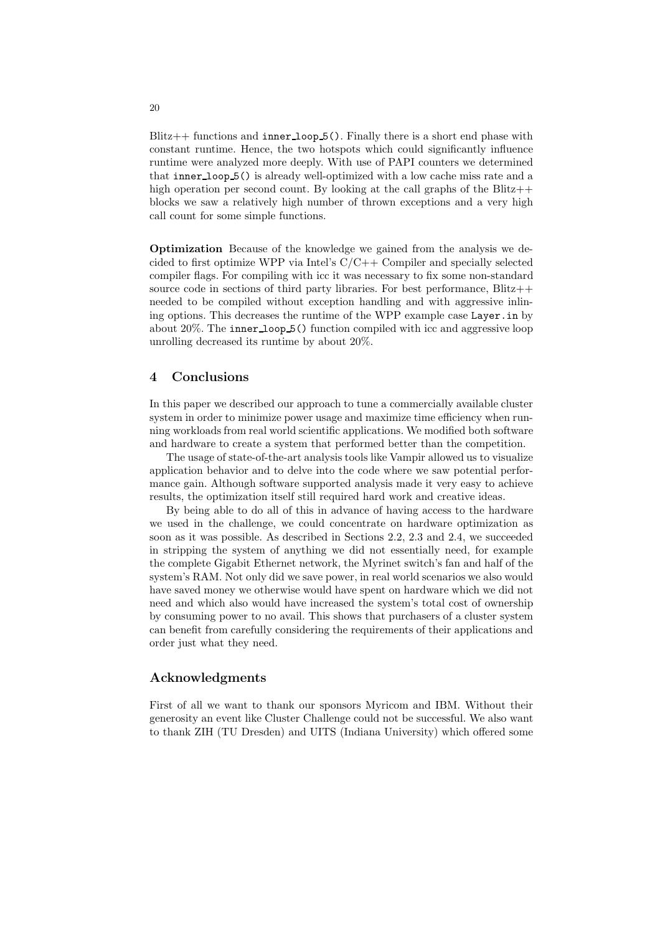$Blitz++$  functions and inner loop  $5()$ . Finally there is a short end phase with constant runtime. Hence, the two hotspots which could significantly influence runtime were analyzed more deeply. With use of PAPI counters we determined that inner loop 5() is already well-optimized with a low cache miss rate and a high operation per second count. By looking at the call graphs of the Blitz $++$ blocks we saw a relatively high number of thrown exceptions and a very high call count for some simple functions.

Optimization Because of the knowledge we gained from the analysis we decided to first optimize WPP via Intel's C/C++ Compiler and specially selected compiler flags. For compiling with icc it was necessary to fix some non-standard source code in sections of third party libraries. For best performance,  $Blitz++$ needed to be compiled without exception handling and with aggressive inlining options. This decreases the runtime of the WPP example case Layer.in by about 20%. The inner loop 5() function compiled with icc and aggressive loop unrolling decreased its runtime by about 20%.

### 4 Conclusions

In this paper we described our approach to tune a commercially available cluster system in order to minimize power usage and maximize time efficiency when running workloads from real world scientific applications. We modified both software and hardware to create a system that performed better than the competition.

The usage of state-of-the-art analysis tools like Vampir allowed us to visualize application behavior and to delve into the code where we saw potential performance gain. Although software supported analysis made it very easy to achieve results, the optimization itself still required hard work and creative ideas.

By being able to do all of this in advance of having access to the hardware we used in the challenge, we could concentrate on hardware optimization as soon as it was possible. As described in Sections 2.2, 2.3 and 2.4, we succeeded in stripping the system of anything we did not essentially need, for example the complete Gigabit Ethernet network, the Myrinet switch's fan and half of the system's RAM. Not only did we save power, in real world scenarios we also would have saved money we otherwise would have spent on hardware which we did not need and which also would have increased the system's total cost of ownership by consuming power to no avail. This shows that purchasers of a cluster system can benefit from carefully considering the requirements of their applications and order just what they need.

#### Acknowledgments

First of all we want to thank our sponsors Myricom and IBM. Without their generosity an event like Cluster Challenge could not be successful. We also want to thank ZIH (TU Dresden) and UITS (Indiana University) which offered some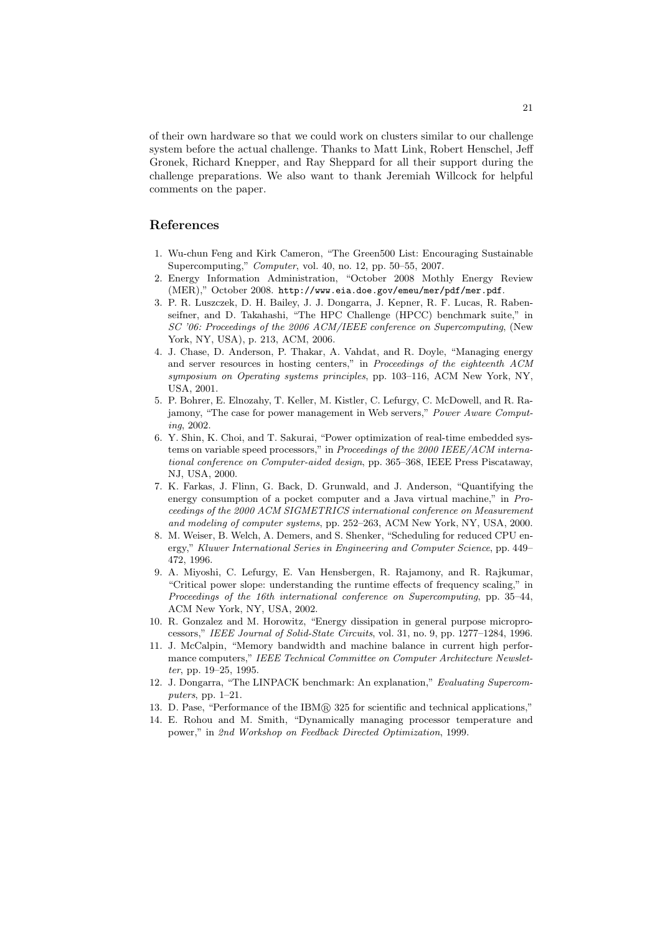of their own hardware so that we could work on clusters similar to our challenge system before the actual challenge. Thanks to Matt Link, Robert Henschel, Jeff Gronek, Richard Knepper, and Ray Sheppard for all their support during the challenge preparations. We also want to thank Jeremiah Willcock for helpful comments on the paper.

# References

- 1. Wu-chun Feng and Kirk Cameron, "The Green500 List: Encouraging Sustainable Supercomputing," *Computer*, vol. 40, no. 12, pp. 50–55, 2007.
- 2. Energy Information Administration, "October 2008 Mothly Energy Review (MER)," October 2008. http://www.eia.doe.gov/emeu/mer/pdf/mer.pdf.
- 3. P. R. Luszczek, D. H. Bailey, J. J. Dongarra, J. Kepner, R. F. Lucas, R. Rabenseifner, and D. Takahashi, "The HPC Challenge (HPCC) benchmark suite," in *SC '06: Proceedings of the 2006 ACM/IEEE conference on Supercomputing*, (New York, NY, USA), p. 213, ACM, 2006.
- 4. J. Chase, D. Anderson, P. Thakar, A. Vahdat, and R. Doyle, "Managing energy and server resources in hosting centers," in *Proceedings of the eighteenth ACM symposium on Operating systems principles*, pp. 103–116, ACM New York, NY, USA, 2001.
- 5. P. Bohrer, E. Elnozahy, T. Keller, M. Kistler, C. Lefurgy, C. McDowell, and R. Rajamony, "The case for power management in Web servers," *Power Aware Computing*, 2002.
- 6. Y. Shin, K. Choi, and T. Sakurai, "Power optimization of real-time embedded systems on variable speed processors," in *Proceedings of the 2000 IEEE/ACM international conference on Computer-aided design*, pp. 365–368, IEEE Press Piscataway, NJ, USA, 2000.
- 7. K. Farkas, J. Flinn, G. Back, D. Grunwald, and J. Anderson, "Quantifying the energy consumption of a pocket computer and a Java virtual machine," in *Proceedings of the 2000 ACM SIGMETRICS international conference on Measurement and modeling of computer systems*, pp. 252–263, ACM New York, NY, USA, 2000.
- 8. M. Weiser, B. Welch, A. Demers, and S. Shenker, "Scheduling for reduced CPU energy," *Kluwer International Series in Engineering and Computer Science*, pp. 449– 472, 1996.
- 9. A. Miyoshi, C. Lefurgy, E. Van Hensbergen, R. Rajamony, and R. Rajkumar, "Critical power slope: understanding the runtime effects of frequency scaling," in *Proceedings of the 16th international conference on Supercomputing*, pp. 35–44, ACM New York, NY, USA, 2002.
- 10. R. Gonzalez and M. Horowitz, "Energy dissipation in general purpose microprocessors," *IEEE Journal of Solid-State Circuits*, vol. 31, no. 9, pp. 1277–1284, 1996.
- 11. J. McCalpin, "Memory bandwidth and machine balance in current high performance computers," *IEEE Technical Committee on Computer Architecture Newsletter*, pp. 19–25, 1995.
- 12. J. Dongarra, "The LINPACK benchmark: An explanation," *Evaluating Supercomputers*, pp. 1–21.
- 13. D. Pase, "Performance of the IBM <sup>R</sup> 325 for scientific and technical applications,"
- 14. E. Rohou and M. Smith, "Dynamically managing processor temperature and power," in *2nd Workshop on Feedback Directed Optimization*, 1999.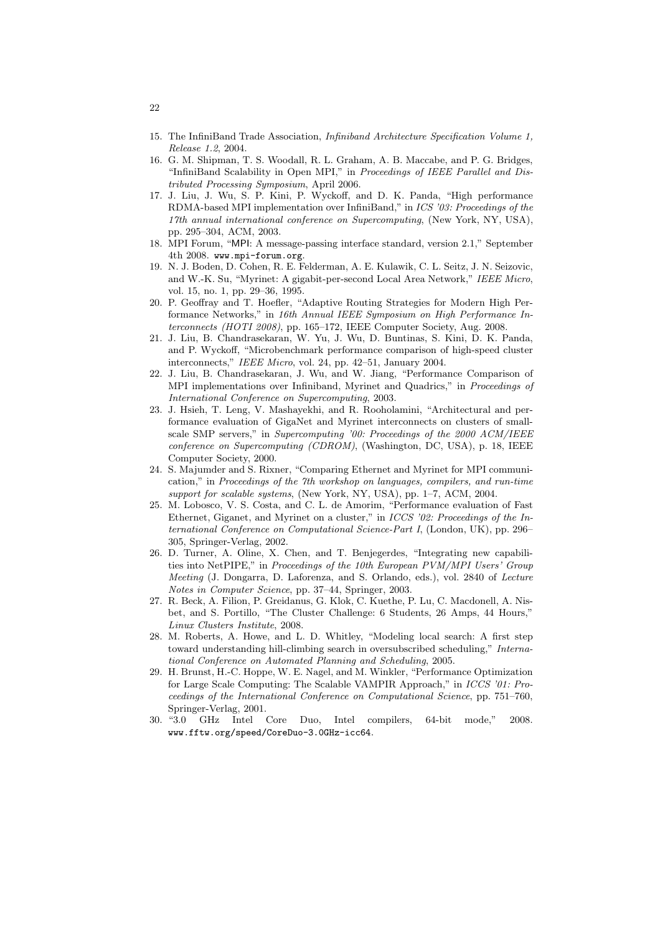- 15. The InfiniBand Trade Association, *Infiniband Architecture Specification Volume 1, Release 1.2*, 2004.
- 16. G. M. Shipman, T. S. Woodall, R. L. Graham, A. B. Maccabe, and P. G. Bridges, "InfiniBand Scalability in Open MPI," in *Proceedings of IEEE Parallel and Distributed Processing Symposium*, April 2006.
- 17. J. Liu, J. Wu, S. P. Kini, P. Wyckoff, and D. K. Panda, "High performance RDMA-based MPI implementation over InfiniBand," in *ICS '03: Proceedings of the 17th annual international conference on Supercomputing*, (New York, NY, USA), pp. 295–304, ACM, 2003.
- 18. MPI Forum, "MPI: A message-passing interface standard, version 2.1," September 4th 2008. www.mpi-forum.org.
- 19. N. J. Boden, D. Cohen, R. E. Felderman, A. E. Kulawik, C. L. Seitz, J. N. Seizovic, and W.-K. Su, "Myrinet: A gigabit-per-second Local Area Network," *IEEE Micro*, vol. 15, no. 1, pp. 29–36, 1995.
- 20. P. Geoffray and T. Hoefler, "Adaptive Routing Strategies for Modern High Performance Networks," in *16th Annual IEEE Symposium on High Performance Interconnects (HOTI 2008)*, pp. 165–172, IEEE Computer Society, Aug. 2008.
- 21. J. Liu, B. Chandrasekaran, W. Yu, J. Wu, D. Buntinas, S. Kini, D. K. Panda, and P. Wyckoff, "Microbenchmark performance comparison of high-speed cluster interconnects," *IEEE Micro*, vol. 24, pp. 42–51, January 2004.
- 22. J. Liu, B. Chandrasekaran, J. Wu, and W. Jiang, "Performance Comparison of MPI implementations over Infiniband, Myrinet and Quadrics," in *Proceedings of International Conference on Supercomputing*, 2003.
- 23. J. Hsieh, T. Leng, V. Mashayekhi, and R. Rooholamini, "Architectural and performance evaluation of GigaNet and Myrinet interconnects on clusters of smallscale SMP servers," in *Supercomputing '00: Proceedings of the 2000 ACM/IEEE conference on Supercomputing (CDROM)*, (Washington, DC, USA), p. 18, IEEE Computer Society, 2000.
- 24. S. Majumder and S. Rixner, "Comparing Ethernet and Myrinet for MPI communication," in *Proceedings of the 7th workshop on languages, compilers, and run-time support for scalable systems*, (New York, NY, USA), pp. 1–7, ACM, 2004.
- 25. M. Lobosco, V. S. Costa, and C. L. de Amorim, "Performance evaluation of Fast Ethernet, Giganet, and Myrinet on a cluster," in *ICCS '02: Proceedings of the International Conference on Computational Science-Part I*, (London, UK), pp. 296– 305, Springer-Verlag, 2002.
- 26. D. Turner, A. Oline, X. Chen, and T. Benjegerdes, "Integrating new capabilities into NetPIPE," in *Proceedings of the 10th European PVM/MPI Users' Group Meeting* (J. Dongarra, D. Laforenza, and S. Orlando, eds.), vol. 2840 of *Lecture Notes in Computer Science*, pp. 37–44, Springer, 2003.
- 27. R. Beck, A. Filion, P. Greidanus, G. Klok, C. Kuethe, P. Lu, C. Macdonell, A. Nisbet, and S. Portillo, "The Cluster Challenge: 6 Students, 26 Amps, 44 Hours," *Linux Clusters Institute*, 2008.
- 28. M. Roberts, A. Howe, and L. D. Whitley, "Modeling local search: A first step toward understanding hill-climbing search in oversubscribed scheduling," *International Conference on Automated Planning and Scheduling*, 2005.
- 29. H. Brunst, H.-C. Hoppe, W. E. Nagel, and M. Winkler, "Performance Optimization for Large Scale Computing: The Scalable VAMPIR Approach," in *ICCS '01: Proceedings of the International Conference on Computational Science*, pp. 751–760, Springer-Verlag, 2001.<br>30. "3.0 GHz Intel
- GHz Intel Core Duo, Intel compilers, 64-bit mode," 2008. www.fftw.org/speed/CoreDuo-3.0GHz-icc64.

22